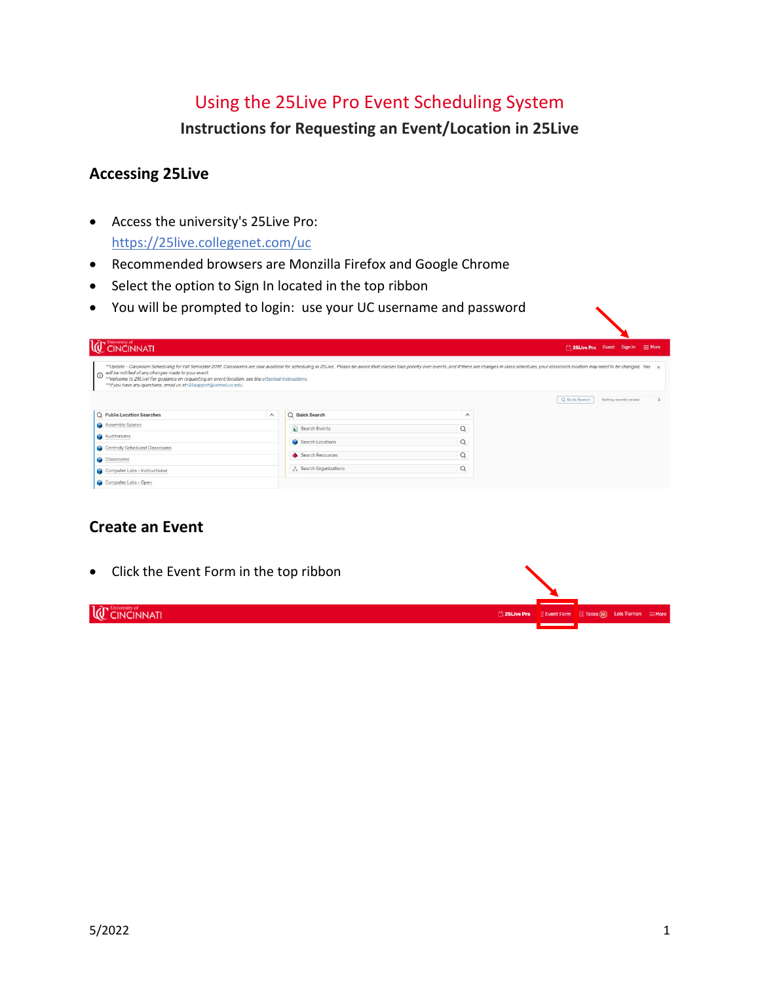# Using the 25Live Pro Event Scheduling System

**Instructions for Requesting an Event/Location in 25Live**

# **Accessing 25Live**

- Access the university's 25Live Pro: <https://25live.collegenet.com/uc>
- Recommended browsers are Monzilla Firefox and Google Chrome
- Select the option to Sign In located in the top ribbon
- You will be prompted to login: use your UC username and password

| <b>LC</b> CINCINNATI                                                                                                                                                                                                                       |                         |                      |                     | 25Live Pro Guest Sign In = More                                                                                                                                                                                                                                                       |
|--------------------------------------------------------------------------------------------------------------------------------------------------------------------------------------------------------------------------------------------|-------------------------|----------------------|---------------------|---------------------------------------------------------------------------------------------------------------------------------------------------------------------------------------------------------------------------------------------------------------------------------------|
| will be notified of any changes made to your event.<br>$\circ$<br>**Welcome to 25Live! For guidance on requesting an event/location, see the attached instructions.<br>** If you have any questions, email us at r25 support@ucmail.uc.edu |                         |                      |                     | **Update - Classroom Scheduling for Fall Semester 2019: Classrooms are now available for scheduling in 25Live. Please be aware that classes take priority over events; and if there are changes in class schedules, your class<br>Q Go to Search<br>$\div$<br>Nothing recently viewed |
| Q Public Location Searches                                                                                                                                                                                                                 | $\widehat{\phantom{a}}$ | Q Quick Search       | $\hat{\phantom{a}}$ |                                                                                                                                                                                                                                                                                       |
| Assembly Spaces                                                                                                                                                                                                                            |                         | Search Events        | $\alpha$            |                                                                                                                                                                                                                                                                                       |
| Auditoriums                                                                                                                                                                                                                                |                         | Search Locations     | $\alpha$            |                                                                                                                                                                                                                                                                                       |
| Centrally Scheduled Classrooms                                                                                                                                                                                                             |                         |                      |                     |                                                                                                                                                                                                                                                                                       |
| Classrooms                                                                                                                                                                                                                                 |                         | Search Resources     | $\alpha$            |                                                                                                                                                                                                                                                                                       |
| Computer Labs - Instructional                                                                                                                                                                                                              |                         | Search Organizations | $\alpha$            |                                                                                                                                                                                                                                                                                       |
| Camputer Labe - Open                                                                                                                                                                                                                       |                         |                      |                     |                                                                                                                                                                                                                                                                                       |

# **Create an Event**

• Click the Event Form in the top ribbon**IC** CINCINNATI <sup>25</sup> 25 Live Pr Event Form **B** Tasks 26 Lois Tiernan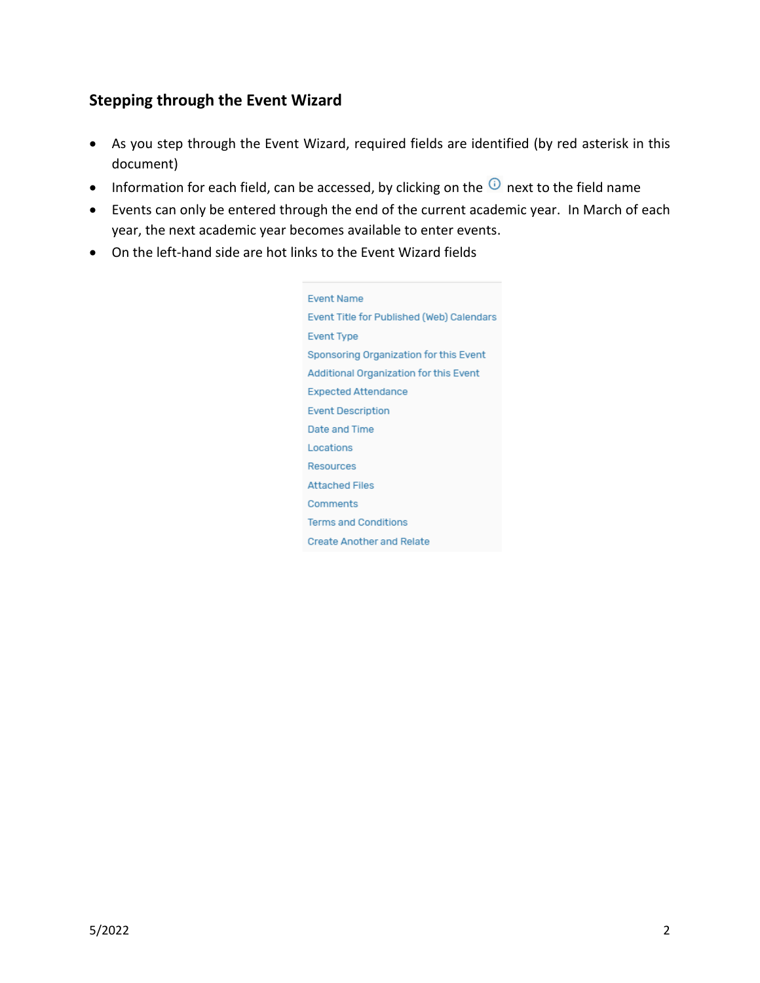# **Stepping through the Event Wizard**

- As you step through the Event Wizard, required fields are identified (by red asterisk in this document)
- Information for each field, can be accessed, by clicking on the  $\overline{O}$  next to the field name
- Events can only be entered through the end of the current academic year. In March of each year, the next academic year becomes available to enter events.
- On the left-hand side are hot links to the Event Wizard fields

**Event Name** Event Title for Published (Web) Calendars **Event Type** Sponsoring Organization for this Event Additional Organization for this Event **Expected Attendance Event Description** Date and Time Locations Resources **Attached Files** Comments **Terms and Conditions Create Another and Relate**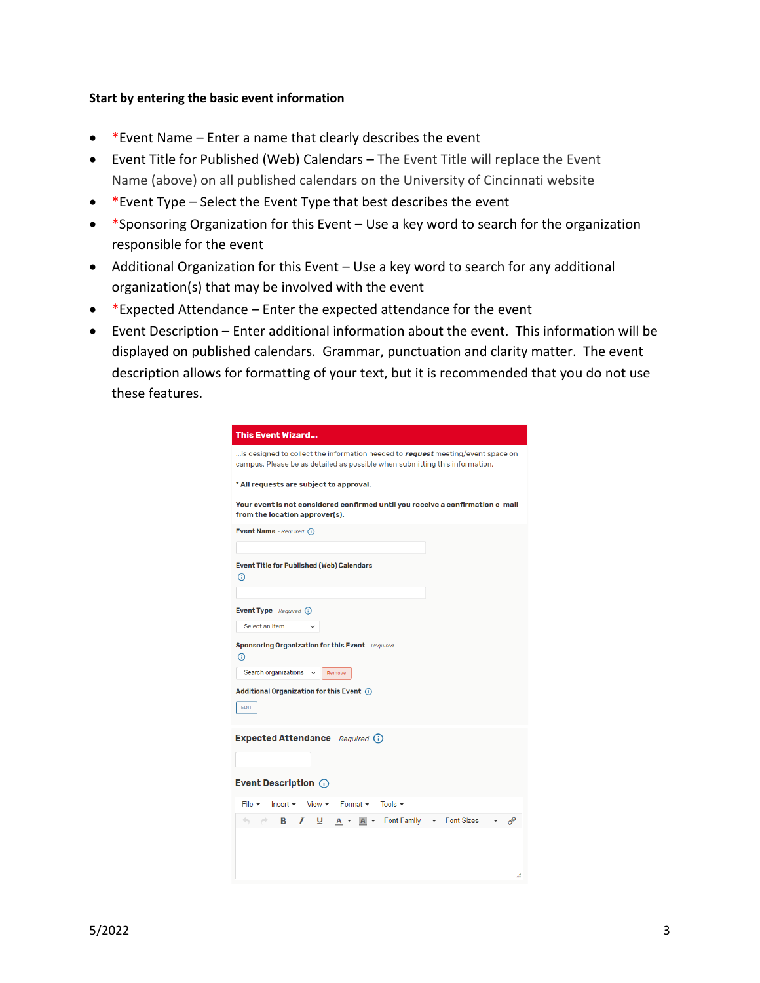#### **Start by entering the basic event information**

- \*Event Name Enter a name that clearly describes the event
- Event Title for Published (Web) Calendars The Event Title will replace the Event Name (above) on all published calendars on the University of Cincinnati website
- \*Event Type Select the Event Type that best describes the event
- \*Sponsoring Organization for this Event Use a key word to search for the organization responsible for the event
- Additional Organization for this Event Use a key word to search for any additional organization(s) that may be involved with the event
- \*Expected Attendance Enter the expected attendance for the event
- Event Description Enter additional information about the event. This information will be displayed on published calendars. Grammar, punctuation and clarity matter. The event description allows for formatting of your text, but it is recommended that you do not use these features.

| <b>This Event Wizard</b>                                                                                                                                       |
|----------------------------------------------------------------------------------------------------------------------------------------------------------------|
| is designed to collect the information needed to request meeting/event space on<br>campus. Please be as detailed as possible when submitting this information. |
| * All requests are subject to approval.                                                                                                                        |
| Your event is not considered confirmed until you receive a confirmation e-mail<br>from the location approver(s).                                               |
| Event Name - Required (i)                                                                                                                                      |
|                                                                                                                                                                |
| Event Title for Published (Web) Calendars<br>$\odot$                                                                                                           |
|                                                                                                                                                                |
| Event Type - Required (i)                                                                                                                                      |
| Select an item                                                                                                                                                 |
| <b>Sponsoring Organization for this Event</b> - Required                                                                                                       |
| ⋒                                                                                                                                                              |
| Search organizations v<br>Remove                                                                                                                               |
| Additional Organization for this Event (i)                                                                                                                     |
| EDIT                                                                                                                                                           |
| Expected Attendance - Required (i)                                                                                                                             |
|                                                                                                                                                                |
| Event Description (i)                                                                                                                                          |
| File $\star$<br>Format $\sim$<br>Tools $\sim$<br>$Insert \rightarrow$<br>View <del>▼</del>                                                                     |
| $A \rightarrow$ Font Family<br>Font Sizes<br>8<br>$\leftarrow$<br>⊻<br>o<br>в<br>I<br>$A \rightarrow$                                                          |
|                                                                                                                                                                |
|                                                                                                                                                                |
|                                                                                                                                                                |
| Æ                                                                                                                                                              |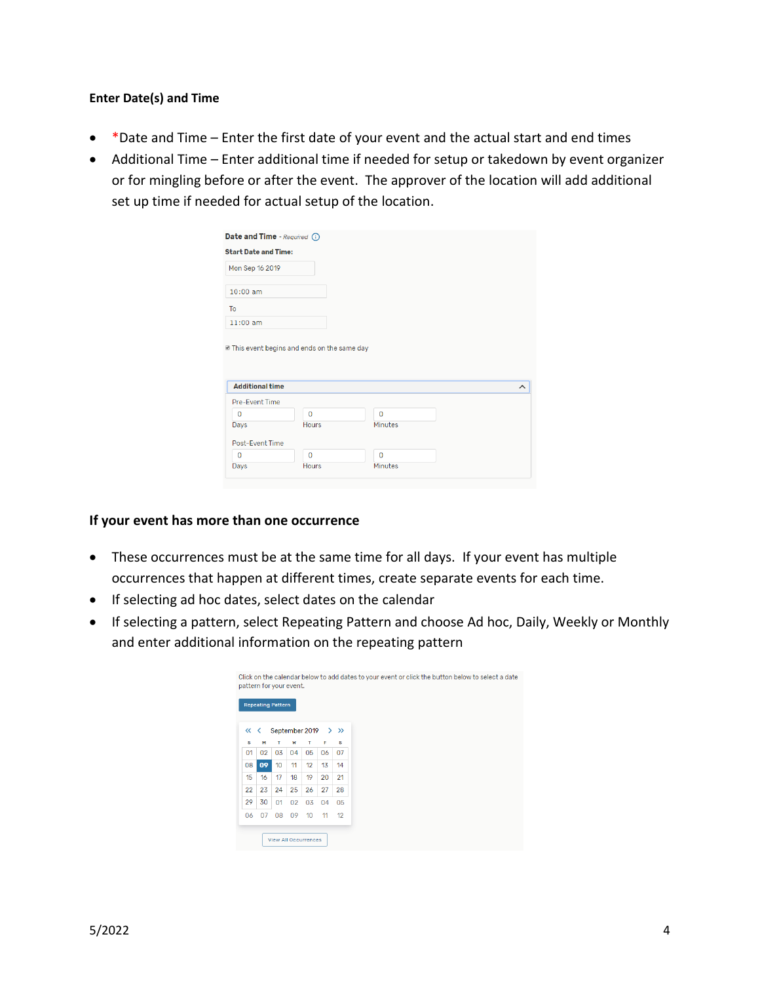#### **Enter Date(s) and Time**

- \*Date and Time Enter the first date of your event and the actual start and end times
- Additional Time Enter additional time if needed for setup or takedown by event organizer or for mingling before or after the event. The approver of the location will add additional set up time if needed for actual setup of the location.

| Mon Sep 16 2019                                                  |                                              |             |  |
|------------------------------------------------------------------|----------------------------------------------|-------------|--|
|                                                                  |                                              |             |  |
| $10:00$ am                                                       |                                              |             |  |
| To                                                               |                                              |             |  |
| $11:00$ am                                                       |                                              |             |  |
|                                                                  | ■ This event begins and ends on the same day |             |  |
|                                                                  |                                              |             |  |
| <b>Additional time</b>                                           |                                              |             |  |
|                                                                  |                                              |             |  |
| $\mathbf{0}$                                                     | $\Omega$                                     | $\Omega$    |  |
|                                                                  | <b>Hours</b>                                 | Minutes     |  |
|                                                                  |                                              |             |  |
| Pre-Event Time<br>Days<br><b>Post-Event Time</b><br>$\mathbf{0}$ | $\mathbf 0$                                  | $\mathbf 0$ |  |

#### **If your event has more than one occurrence**

- These occurrences must be at the same time for all days. If your event has multiple occurrences that happen at different times, create separate events for each time.
- If selecting ad hoc dates, select dates on the calendar
- If selecting a pattern, select Repeating Pattern and choose Ad hoc, Daily, Weekly or Monthly and enter additional information on the repeating pattern

|          | pattern for your event.  |                  |    |    |    | Click on the calendar below to add dates to your event or click the button below to select a date |
|----------|--------------------------|------------------|----|----|----|---------------------------------------------------------------------------------------------------|
|          | <b>Repeating Pattern</b> | September 2019   |    |    |    | $>$ $\gg$                                                                                         |
| くくく<br>s | м                        | т                | W  | т  | F  | s                                                                                                 |
| 01       | 02                       | 03               | 04 | 05 | 06 | 07                                                                                                |
| 08       | 09                       | 10 <sup>10</sup> | 11 | 12 | 13 | 14                                                                                                |
| 15       | 16                       | 17               | 18 | 19 | 20 | 21                                                                                                |
| 22       | 23                       | 24               | 25 | 26 | 27 | 28                                                                                                |
| 29       | 30                       | 01               | 02 | 03 | 04 | 05                                                                                                |
| 06       | 07                       | 08               | 09 | 10 | 11 | 12                                                                                                |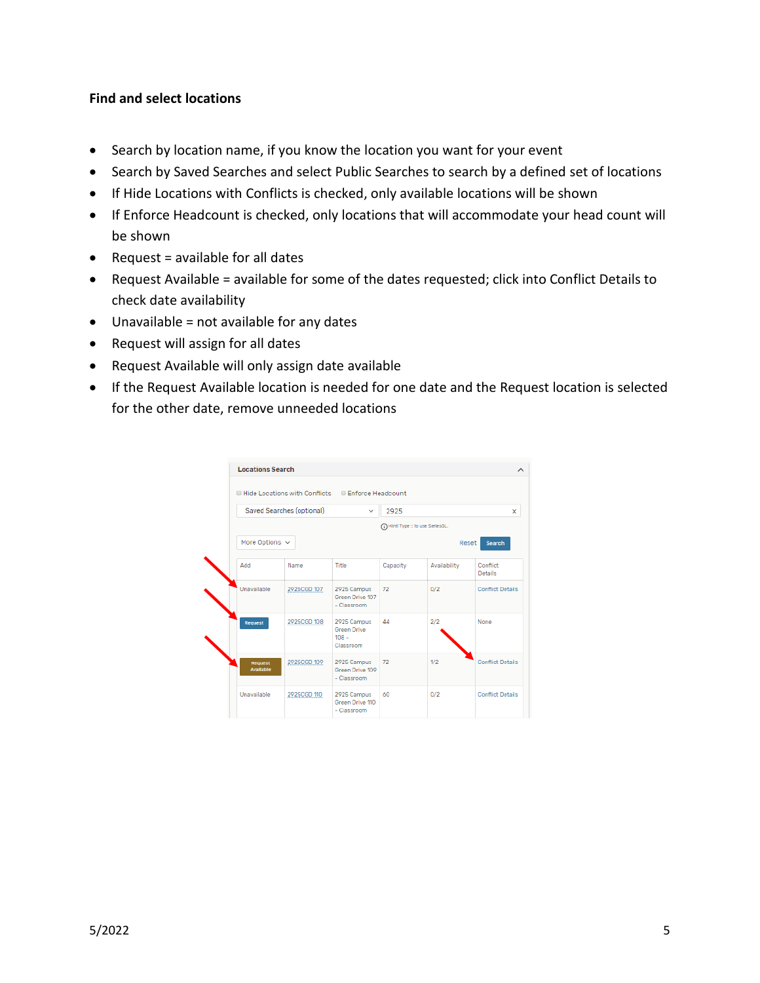## **Find and select locations**

- Search by location name, if you know the location you want for your event
- Search by Saved Searches and select Public Searches to search by a defined set of locations
- If Hide Locations with Conflicts is checked, only available locations will be shown
- If Enforce Headcount is checked, only locations that will accommodate your head count will be shown
- Request = available for all dates
- Request Available = available for some of the dates requested; click into Conflict Details to check date availability
- Unavailable = not available for any dates
- Request will assign for all dates
- Request Available will only assign date available
- If the Request Available location is needed for one date and the Request location is selected for the other date, remove unneeded locations

|                      | ■ Hide Locations with Conflicts ■ Enforce Headcount |                                                           |                                  |              |                         |
|----------------------|-----------------------------------------------------|-----------------------------------------------------------|----------------------------------|--------------|-------------------------|
|                      | Saved Searches (optional)                           | $\checkmark$                                              | 2925                             |              | $\times$                |
|                      |                                                     |                                                           | n Hinti Type :: to use SeriesQL. |              |                         |
| More Options $\sim$  |                                                     |                                                           |                                  |              | Reset<br><b>Search</b>  |
| Add                  | Name                                                | Title                                                     | Capacity                         | Availability | Conflict<br>Details     |
| Unavailable          | 2925CGD 107                                         | 2925 Campus<br>Green Drive 107<br>- Classroom             | 72                               | 0/2          | <b>Conflict Details</b> |
| Request              | 2925CGD 108                                         | 2925 Campus<br><b>Green Drive</b><br>$108 -$<br>Classroom | 44                               | 2/2          | None                    |
| Request<br>Available | 2925CGD 109                                         | 2925 Campus<br>Green Drive 109<br>- Classroom             | 72                               | 1/2          | <b>Conflict Details</b> |
| Unavailable          | 2925CGD 110                                         | 2925 Campus<br>Green Drive 110<br>- Classroom             | 60                               | 0/2          | <b>Conflict Details</b> |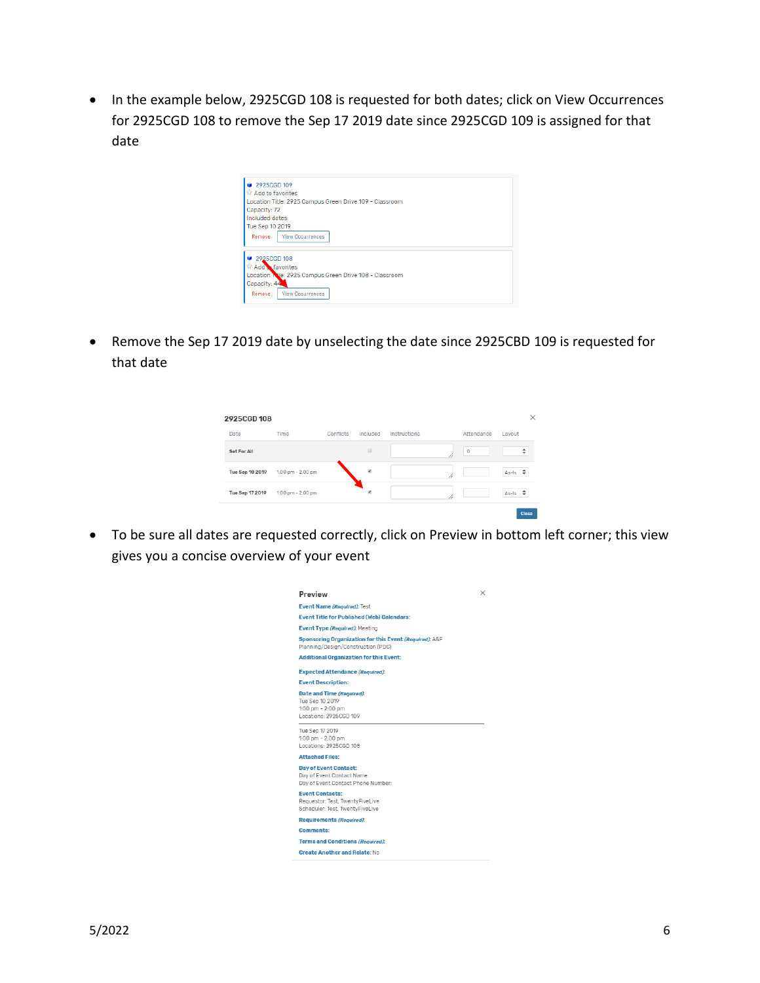• In the example below, 2925CGD 108 is requested for both dates; click on View Occurrences for 2925CGD 108 to remove the Sep 17 2019 date since 2925CGD 109 is assigned for that date

| <b>Add to favorites</b>    | 2925CGD 109                                             |  |  |
|----------------------------|---------------------------------------------------------|--|--|
|                            | Location Title: 2925 Campus Green Drive 109 - Classroom |  |  |
| Capacity: 72               |                                                         |  |  |
| Included dates:            |                                                         |  |  |
|                            |                                                         |  |  |
| Tue Sep 10 2019            |                                                         |  |  |
| Remove                     | <b>View Occurrences</b>                                 |  |  |
|                            |                                                         |  |  |
| 2925CGD 108                |                                                         |  |  |
| <b>Til Add a favorites</b> |                                                         |  |  |
|                            | Location Nie: 2925 Campus Green Drive 108 - Classroom   |  |  |
| Capacity: 44               |                                                         |  |  |
|                            |                                                         |  |  |

• Remove the Sep 17 2019 date by unselecting the date since 2925CBD 109 is requested for that date

| 2925CGD 108     |                   |           |          |              |             |                   | ×     |
|-----------------|-------------------|-----------|----------|--------------|-------------|-------------------|-------|
| Date            | Time              | Conflicts | Included | Instructions | Attendance  | Layout            |       |
| Set For All     |                   |           | B        |              | $\mathbb O$ |                   | ÷     |
| Tue Sep 10 2019 | 1:00 pm - 2:00 pm |           | ×        |              |             | $\div$<br>$As-Is$ |       |
| Tue Sep 17 2019 | 1:00 pm - 2:00 pm |           | ×        |              |             | ÷<br>$As-Is$      |       |
|                 |                   |           |          |              |             |                   | Close |

• To be sure all dates are requested correctly, click on Preview in bottom left corner; this view gives you a concise overview of your event

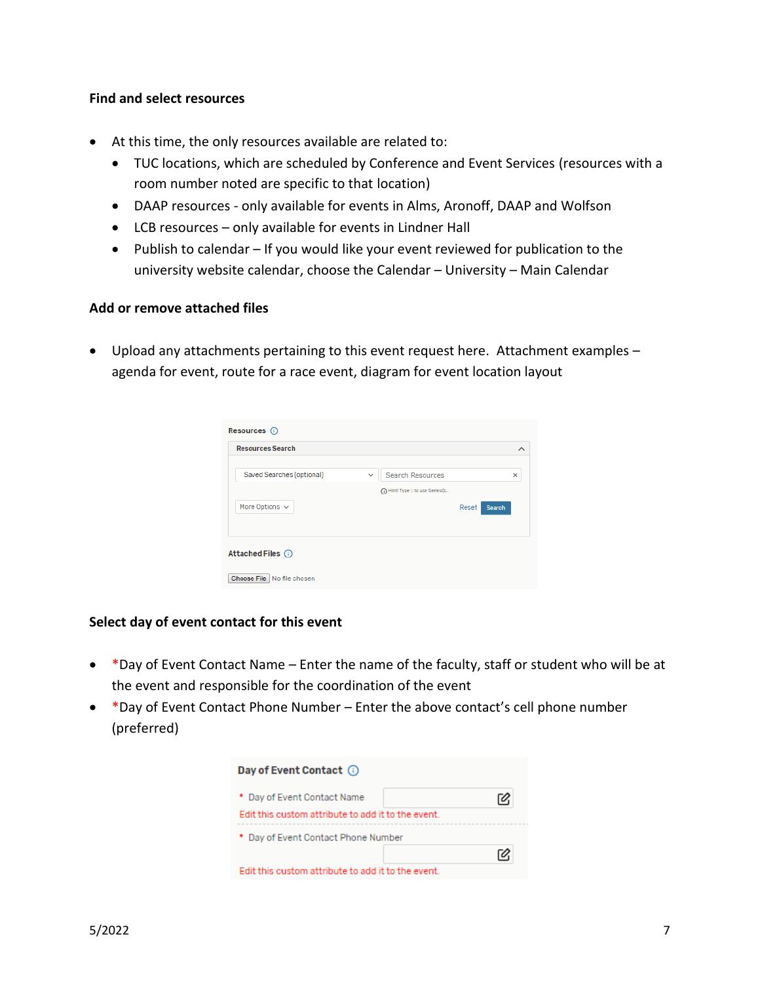#### **Find and select resources**

- At this time, the only resources available are related to:
	- TUC locations, which are scheduled by Conference and Event Services (resources with a room number noted are specific to that location)
	- DAAP resources only available for events in Alms, Aronoff, DAAP and Wolfson
	- LCB resources only available for events in Lindner Hall
	- Publish to calendar If you would like your event reviewed for publication to the university website calendar, choose the Calendar – University – Main Calendar

#### **Add or remove attached files**

• Upload any attachments pertaining to this event request here. Attachment examples – agenda for event, route for a race event, diagram for event location layout

| Resources <b>O</b><br><b>Resources Search</b> |                                             | ᄉ        |
|-----------------------------------------------|---------------------------------------------|----------|
| Saved Searches (optional)                     | <b>Search Resources</b><br>$\checkmark$     | $\times$ |
| More Options $\sim$                           | (1) Hinti Type :: to use SeriesQL.<br>Reset | Search   |
| Attached Files (i)                            |                                             |          |
| Choose File   No file chosen                  |                                             |          |

## **Select day of event contact for this event**

- \*Day of Event Contact Name Enter the name of the faculty, staff or student who will be at the event and responsible for the coordination of the event
- \*Day of Event Contact Phone Number Enter the above contact's cell phone number (preferred)

| Day of Event Contact (i)                           |  |
|----------------------------------------------------|--|
| * Day of Event Contact Name                        |  |
| Edit this custom attribute to add it to the event. |  |
| * Day of Event Contact Phone Number                |  |
|                                                    |  |
| Edit this custom attribute to add it to the event. |  |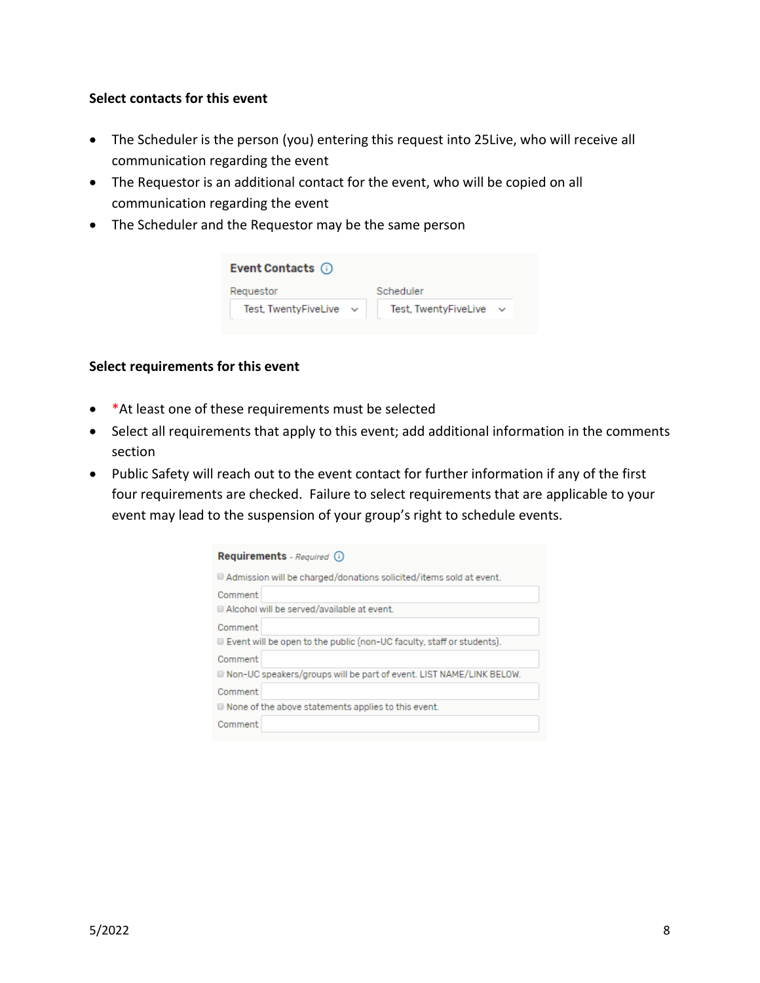## **Select contacts for this event**

- The Scheduler is the person (you) entering this request into 25Live, who will receive all communication regarding the event
- The Requestor is an additional contact for the event, who will be copied on all communication regarding the event
- The Scheduler and the Requestor may be the same person

| Event Contacts (i)   |                      |
|----------------------|----------------------|
| Requestor            | Scheduler            |
| Test, TwentyFiveLive | Test, TwentyFiveLive |
|                      |                      |

#### **Select requirements for this event**

- \*At least one of these requirements must be selected
- Select all requirements that apply to this event; add additional information in the comments section
- Public Safety will reach out to the event contact for further information if any of the first four requirements are checked. Failure to select requirements that are applicable to your event may lead to the suspension of your group's right to schedule events.

| Requirements - Required (i)                                                       |
|-----------------------------------------------------------------------------------|
| $\blacksquare$ Admission will be charged/donations solicited/items sold at event. |
| Comment                                                                           |
| Alcohol will be served/available at event.                                        |
| Comment                                                                           |
| $\Box$ Event will be open to the public (non-UC faculty, staff or students).      |
| Comment                                                                           |
| Non-UC speakers/groups will be part of event. LIST NAME/LINK BELOW.               |
| Comment                                                                           |
| $\blacksquare$ None of the above statements applies to this event.                |
| Comment                                                                           |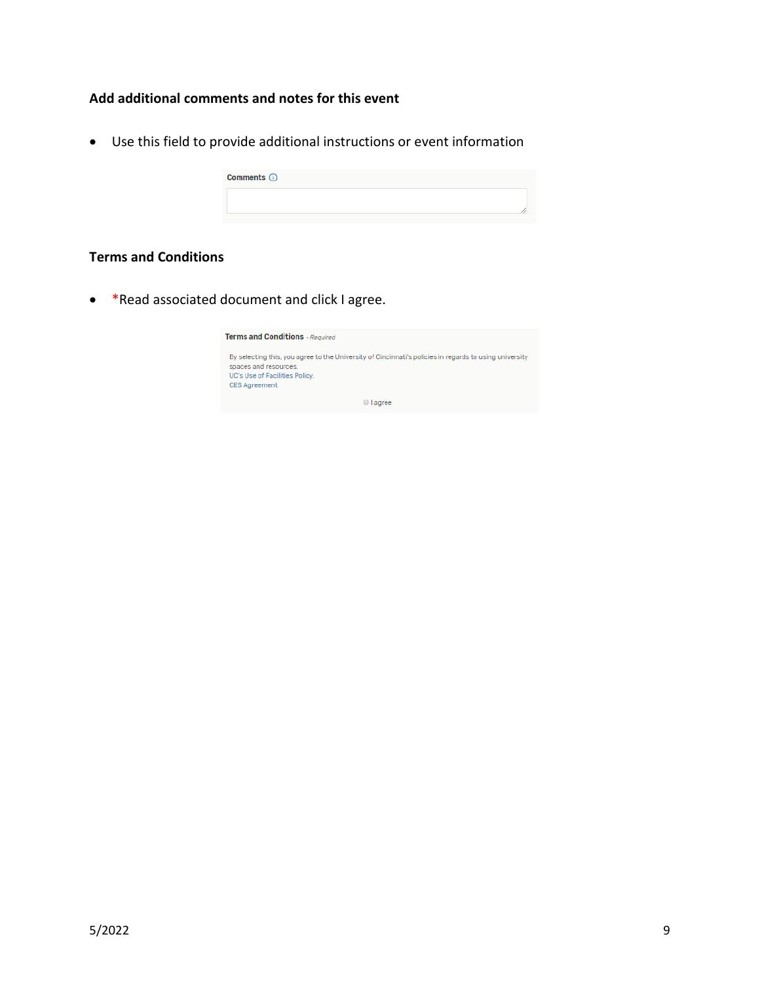# **Add additional comments and notes for this event**

• Use this field to provide additional instructions or event information

| Comments <b>to</b> |  |
|--------------------|--|
|                    |  |

# **Terms and Conditions**

• \*Read associated document and click I agree.

| <b>Terms and Conditions</b> - Required                                                                                                                                                    |
|-------------------------------------------------------------------------------------------------------------------------------------------------------------------------------------------|
| By selecting this, you agree to the University of Cincinnati's policies in regards to using university<br>spaces and resources.<br>UC's Use of Facilities Policy.<br><b>CES Agreement</b> |
| $\Box$ agree                                                                                                                                                                              |